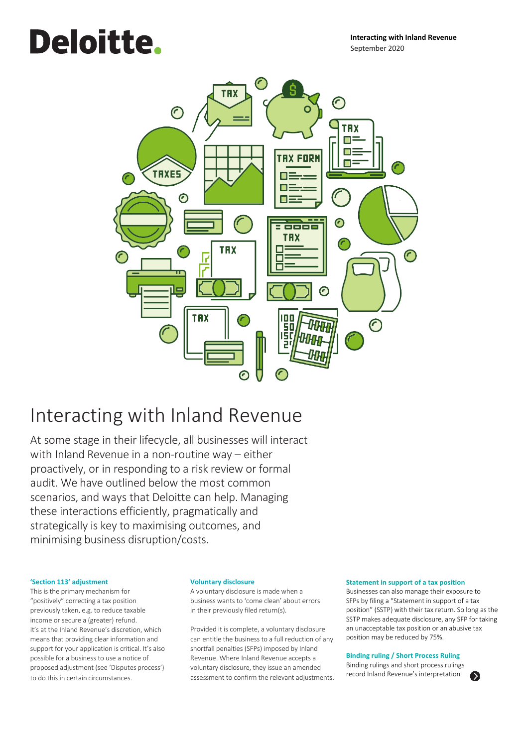# **Deloitte.**



# Interacting with Inland Revenue

At some stage in their lifecycle, all businesses will interact with Inland Revenue in a non-routine way – either proactively, or in responding to a risk review or formal audit. We have outlined below the most common scenarios, and ways that Deloitte can help. Managing these interactions efficiently, pragmatically and strategically is key to maximising outcomes, and minimising business disruption/costs.

#### **'Section 113' adjustment**

This is the primary mechanism for "positively" correcting a tax position previously taken, e.g. to reduce taxable income or secure a (greater) refund. It's at the Inland Revenue's discretion, which means that providing clear information and support for your application is critical. It's also possible for a business to use a notice of proposed adjustment (see 'Disputes process') to do this in certain circumstances.

#### **Voluntary disclosure**

A voluntary disclosure is made when a business wants to 'come clean' about errors in their previously filed return(s).

Provided it is complete, a voluntary disclosure can entitle the business to a full reduction of any shortfall penalties (SFPs) imposed by Inland Revenue. Where Inland Revenue accepts a voluntary disclosure, they issue an amended assessment to confirm the relevant adjustments.

#### **Statement in support of a tax position**

Businesses can also manage their exposure to SFPs by filing a "Statement in support of a tax position" (SSTP) with their tax return. So long as the SSTP makes adequate disclosure, any SFP for taking an unacceptable tax position or an abusive tax position may be reduced by 75%.

#### **Binding ruling / Short Process Ruling**

Binding rulings and short process rulings record Inland Revenue's interpretation